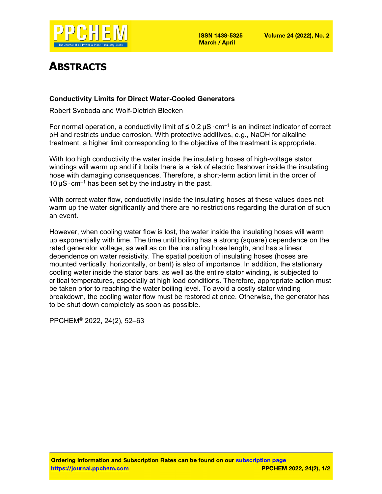

# ABSTRACTS

### Conductivity Limits for Direct Water-Cooled Generators

Robert Svoboda and Wolf-Dietrich Blecken

For normal operation, a conductivity limit of  $\leq 0.2 \,\mu\text{S}\cdot\text{cm}^{-1}$  is an indirect indicator of correct pH and restricts undue corrosion. With protective additives, e.g., NaOH for alkaline treatment, a higher limit corresponding to the objective of the treatment is appropriate.

With too high conductivity the water inside the insulating hoses of high-voltage stator windings will warm up and if it boils there is a risk of electric flashover inside the insulating hose with damaging consequences. Therefore, a short-term action limit in the order of  $10 \mu S \cdot cm^{-1}$  has been set by the industry in the past.

With correct water flow, conductivity inside the insulating hoses at these values does not warm up the water significantly and there are no restrictions regarding the duration of such an event.

However, when cooling water flow is lost, the water inside the insulating hoses will warm up exponentially with time. The time until boiling has a strong (square) dependence on the rated generator voltage, as well as on the insulating hose length, and has a linear dependence on water resistivity. The spatial position of insulating hoses (hoses are mounted vertically, horizontally, or bent) is also of importance. In addition, the stationary cooling water inside the stator bars, as well as the entire stator winding, is subjected to critical temperatures, especially at high load conditions. Therefore, appropriate action must be taken prior to reaching the water boiling level. To avoid a costly stator winding breakdown, the cooling water flow must be restored at once. Otherwise, the generator has to be shut down completely as soon as possible.

PPCHEM® 2022, 24(2), 52–63